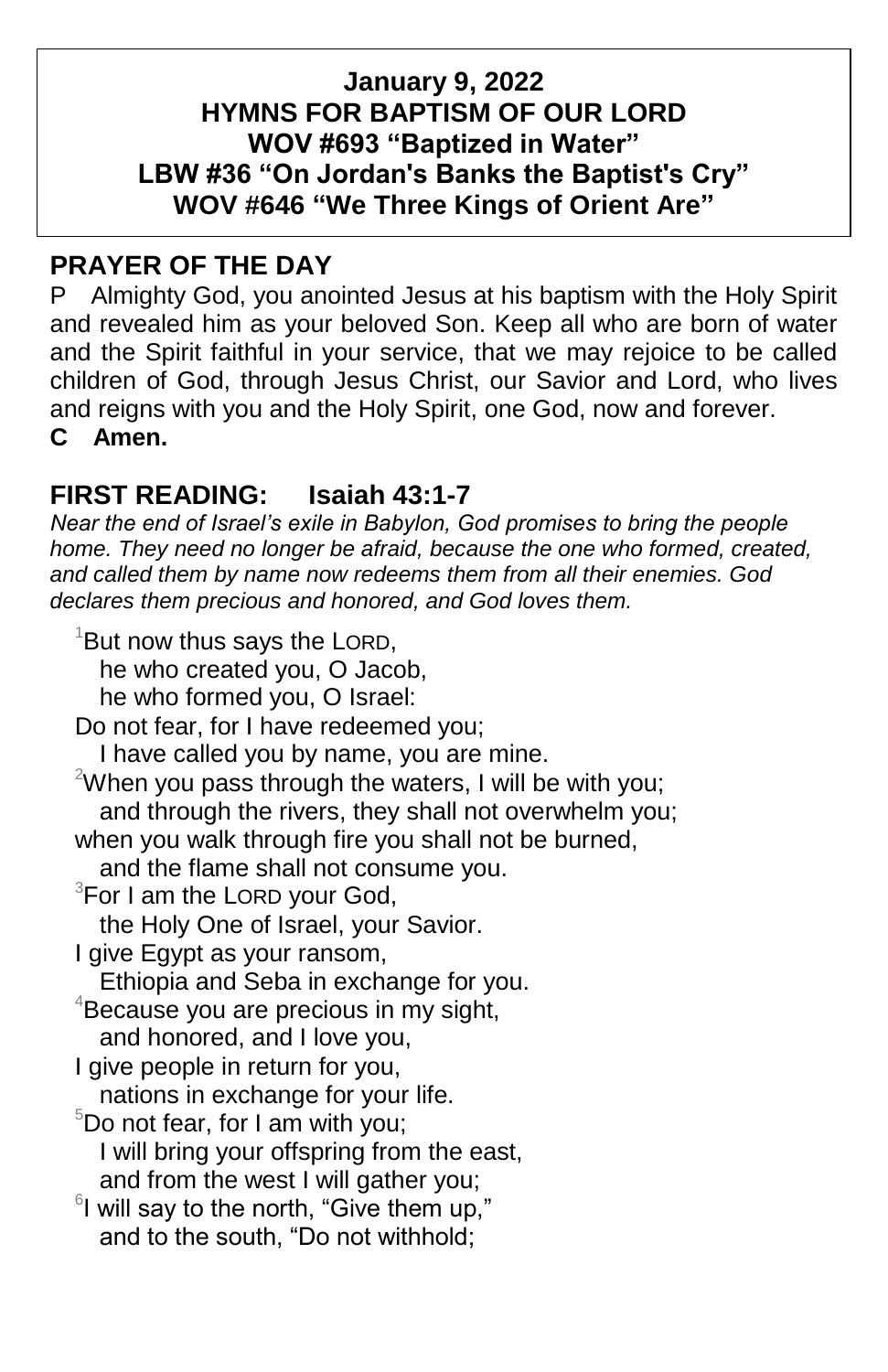### **January 9, 2022 HYMNS FOR BAPTISM OF OUR LORD WOV #693 "Baptized in Water" LBW #36 "On Jordan's Banks the Baptist's Cry" WOV #646 "We Three Kings of Orient Are"**

## **PRAYER OF THE DAY**

P Almighty God, you anointed Jesus at his baptism with the Holy Spirit and revealed him as your beloved Son. Keep all who are born of water and the Spirit faithful in your service, that we may rejoice to be called children of God, through Jesus Christ, our Savior and Lord, who lives and reigns with you and the Holy Spirit, one God, now and forever. **C Amen.**

## **FIRST READING: Isaiah 43:1-7**

*Near the end of Israel's exile in Babylon, God promises to bring the people home. They need no longer be afraid, because the one who formed, created, and called them by name now redeems them from all their enemies. God declares them precious and honored, and God loves them.*

 $1$ But now thus says the LORD, he who created you, O Jacob, he who formed you, O Israel: Do not fear, for I have redeemed you; I have called you by name, you are mine. <sup>2</sup>When you pass through the waters, I will be with you; and through the rivers, they shall not overwhelm you; when you walk through fire you shall not be burned, and the flame shall not consume you.  $3$ For I am the LORD your God, the Holy One of Israel, your Savior. I give Egypt as your ransom, Ethiopia and Seba in exchange for you.  $4B$ ecause you are precious in my sight, and honored, and I love you, I give people in return for you, nations in exchange for your life.  $5D$ o not fear, for I am with you; I will bring your offspring from the east, and from the west I will gather you;  $6$ I will say to the north, "Give them up," and to the south, "Do not withhold;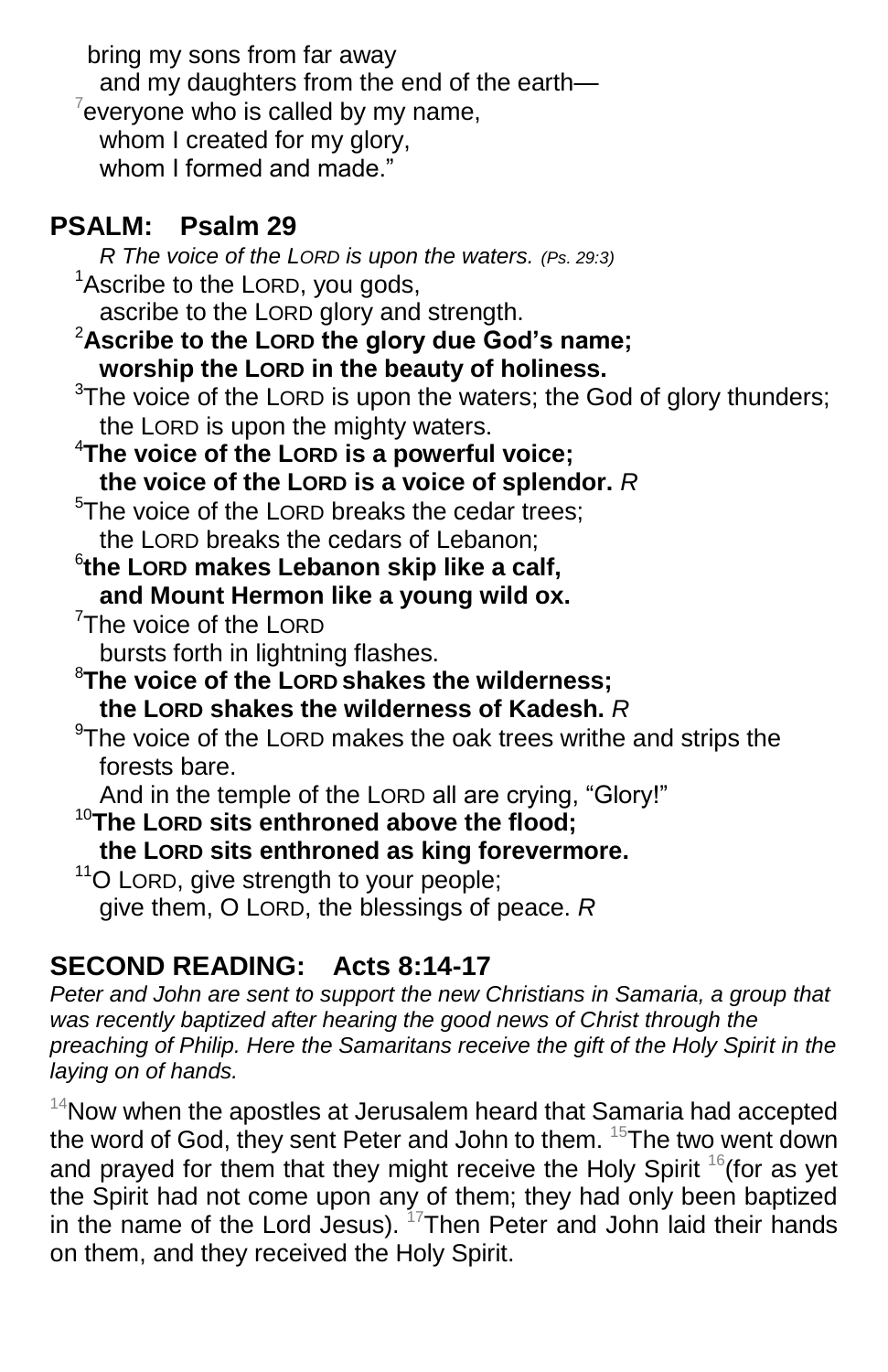bring my sons from far away and my daughters from the end of the earth- $7$ everyone who is called by my name, whom I created for my glory, whom I formed and made."

# **PSALM: Psalm 29**

 *R The voice of the LORD is upon the waters. (Ps. 29:3)*  $1$ Ascribe to the LORD, you gods, ascribe to the LORD glory and strength. <sup>2</sup>**Ascribe to the LORD the glory due God's name; worship the LORD in the beauty of holiness.**  $3$ The voice of the LORD is upon the waters; the God of glory thunders; the LORD is upon the mighty waters. <sup>4</sup>**The voice of the LORD is a powerful voice; the voice of the LORD is a voice of splendor.** *R* <sup>5</sup>The voice of the LORD breaks the cedar trees: the LORD breaks the cedars of Lebanon; 6 **the LORD makes Lebanon skip like a calf, and Mount Hermon like a young wild ox.** <sup>7</sup>The voice of the LORD bursts forth in lightning flashes. <sup>8</sup>**The voice of the LORD shakes the wilderness; the LORD shakes the wilderness of Kadesh.** *R*  $9$ The voice of the LORD makes the oak trees writhe and strips the forests bare. And in the temple of the LORD all are crying, "Glory!" <sup>10</sup>**The LORD sits enthroned above the flood; the LORD sits enthroned as king forevermore.** <sup>11</sup>O LORD, give strength to your people; give them, O LORD, the blessings of peace. *R*

# **SECOND READING: Acts 8:14-17**

*Peter and John are sent to support the new Christians in Samaria, a group that was recently baptized after hearing the good news of Christ through the preaching of Philip. Here the Samaritans receive the gift of the Holy Spirit in the laying on of hands.*

 $14$ Now when the apostles at Jerusalem heard that Samaria had accepted the word of God, they sent Peter and John to them. <sup>15</sup>The two went down and prayed for them that they might receive the Holy Spirit  $16$  (for as yet the Spirit had not come upon any of them; they had only been baptized in the name of the Lord Jesus). <sup>17</sup>Then Peter and John laid their hands on them, and they received the Holy Spirit.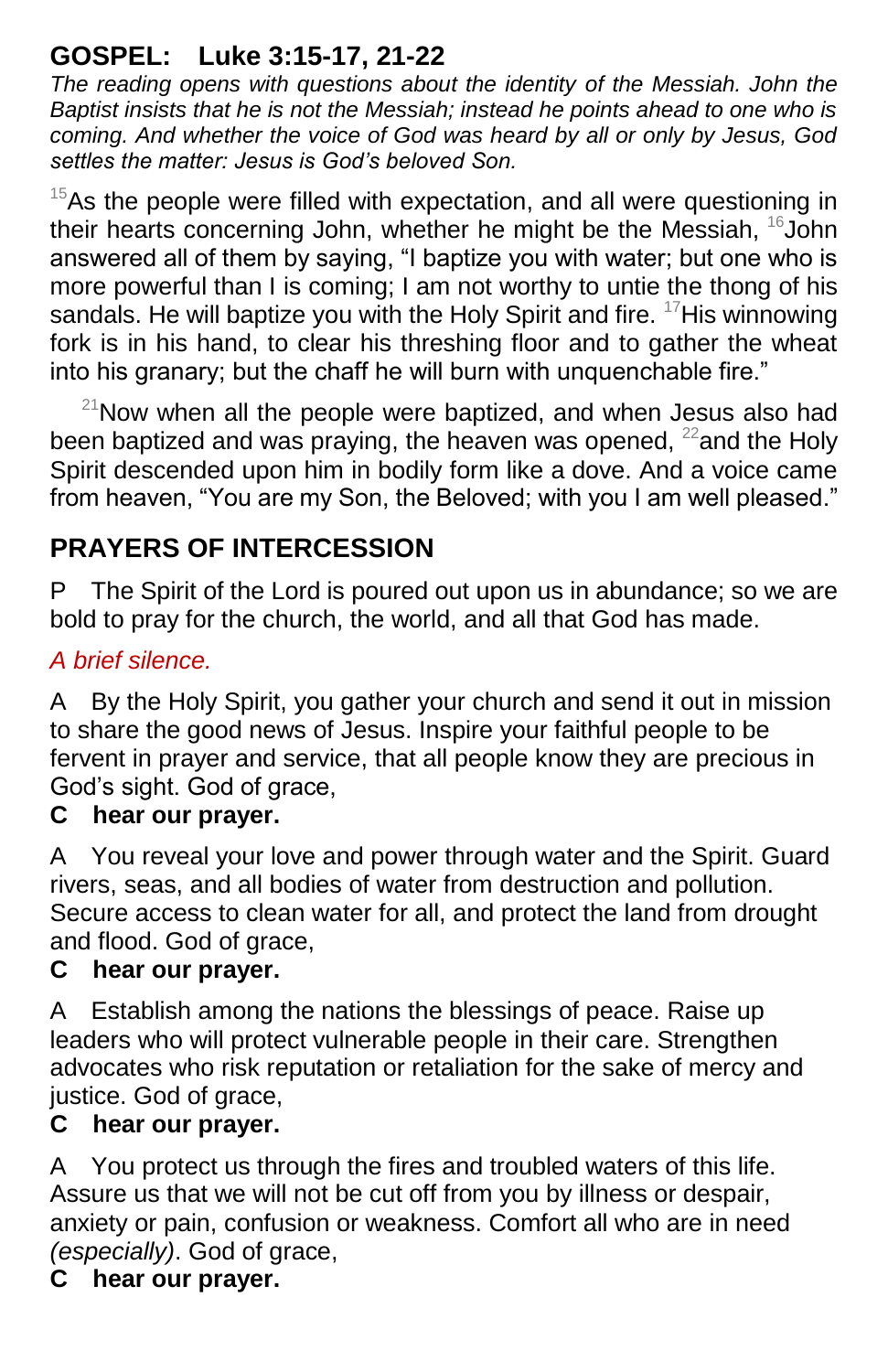# **GOSPEL: Luke 3:15-17, 21-22**

*The reading opens with questions about the identity of the Messiah. John the Baptist insists that he is not the Messiah; instead he points ahead to one who is coming. And whether the voice of God was heard by all or only by Jesus, God settles the matter: Jesus is God's beloved Son.*

 $15$ As the people were filled with expectation, and all were questioning in their hearts concerning John, whether he might be the Messiah,  $^{16}$ John answered all of them by saying, "I baptize you with water; but one who is more powerful than I is coming; I am not worthy to untie the thong of his sandals. He will baptize you with the Holy Spirit and fire.  $17$ His winnowing fork is in his hand, to clear his threshing floor and to gather the wheat into his granary; but the chaff he will burn with unquenchable fire."

 $21$ Now when all the people were baptized, and when Jesus also had been baptized and was praying, the heaven was opened,  $^{22}$  and the Holy Spirit descended upon him in bodily form like a dove. And a voice came from heaven, "You are my Son, the Beloved; with you I am well pleased."

# **PRAYERS OF INTERCESSION**

P The Spirit of the Lord is poured out upon us in abundance; so we are bold to pray for the church, the world, and all that God has made.

#### *A brief silence.*

A By the Holy Spirit, you gather your church and send it out in mission to share the good news of Jesus. Inspire your faithful people to be fervent in prayer and service, that all people know they are precious in God's sight. God of grace,

#### **C hear our prayer.**

A You reveal your love and power through water and the Spirit. Guard rivers, seas, and all bodies of water from destruction and pollution. Secure access to clean water for all, and protect the land from drought and flood. God of grace,

#### **C hear our prayer.**

A Establish among the nations the blessings of peace. Raise up leaders who will protect vulnerable people in their care. Strengthen advocates who risk reputation or retaliation for the sake of mercy and justice. God of grace,

#### **C hear our prayer.**

A You protect us through the fires and troubled waters of this life. Assure us that we will not be cut off from you by illness or despair, anxiety or pain, confusion or weakness. Comfort all who are in need *(especially)*. God of grace,

# **C hear our prayer.**